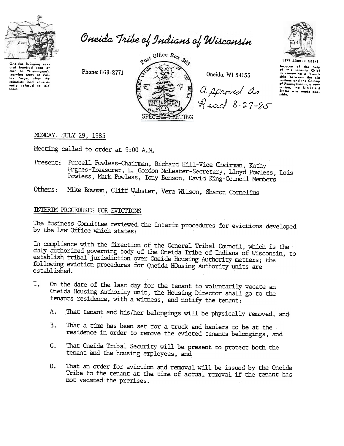

aral hundred bags of

oral hundred bags of<br>carn to Washington's<br>trarving army at Val-<br>loy-forge, after the<br>colonists had consist-<br>with refused to aid<br>them,

Oneida Tribe of Indians of Wisconsin

Phone: 869-2771



Oneida, WI 54155

Approved as<br>Read 8-27-85



UGWA DENOLUN TATENE

Because of the help<br>of this Oneida Chief secouse or me neuple<br>in comenting a friend-<br>in comenting a friend-<br>ship between the Colony<br>rather clinical conditions of Pennsylvania ot Fennsylvania, a new<br>nation, the United<br>Status was made possible.

## MONDAY, JULY 29, 1985

Meeting called to order at 9:00 A.M.

Present: Purcell Powless-Chairman, Richard Hill-Vice Chairman, Kathy Hughes-Treasurer, L. Gordon McLester-Secretary, Lloyd Powless, Lois Powless, Mark Powless, Tony Benson, David King-Council Members

Mike Bowman, Cliff Webster, Vera Wilson, Sharon Cornelius Others:

## INTERIM PROCEDURES FOR EVICTIONS

The Business Committee reviewed the interim procedures for evictions developed by the Law Office which states:

In compliance with the direction of the General Tribal Council, which is the duly authorized governing body of the Oneida Tribe of Indians of Wisconsin, to establish tribal jurisdiction over Oneida Housing Authority matters; the following eviction procedures for Oneida HOusing Authority units are established.

- On the date of the last day for the tenant to voluntarily vacate an Ι. Oneida Housing Authority unit, the Housing Director shall go to the tenants residence, with a witness, and notify the tenant:
	- That tenant and his/her belongings will be physically removed, and  $A.$
	- That a time has been set for a truck and haulers to be at the В. residence in order to remove the evicted tenants belongings, and
	- That Oneida Tribal Security will be present to protect both the  $\mathsf{C}_{\bullet}$ tenant and the housing employees, and
	- D. That an order for eviction and removal will be issued by the Oneida Tribe to the tenant at the time of actual removal if the tenant has not vacated the premises.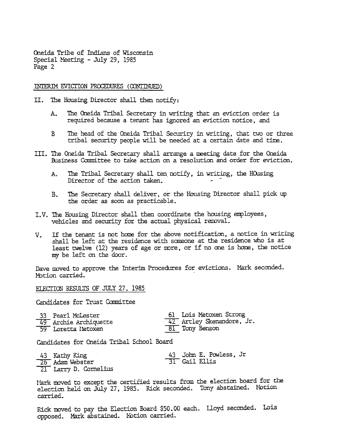Oneida Tribe of Indians of Wisconsin Special Meeting - July 29, 1985 Page 2

## INTERIM EVICTION PROCEDURES (CONTINUED)

- II. The Housing Director shall then notify:
	- The Oneida Tribal Secretary in writing that an eviction order is A. required because a tenant has ignored an eviction notice, and
	- The head of the Oneida Tribal Security in writing, that two or three  $\mathbf{B}$ tribal security people will be needed at a certain date and time.
- III. The Oneida Tribal Secretary shall arrange a meeting date for the Oneida Business Committee to take action on a resolution and order for eviction.
	- $A_{\bullet}$ The Tribal Secretary shall ten notify, in writing, the HOusing Director of the action taken.
	- The Secretary shall deliver, or the Housing Director shall pick up B. the order as soon as practicable.
- I.V. The Housing Director shall then coordinate the housing employees, vehicles and security for the actual physical removal.
- If the tenant is not home for the above notification, a notice in writing  $V_{\star}$ shall be left at the residence with someone at the residence who is at least twelve (12) years of age or more, or if no one is home, the notice my be left on the door.

Dave moved to approve the Interim Procedures for evictions. Mark seconded. Motion carried.

ELECTION RESULTS OF JULY 27, 1985

Candidates for Trust Committee

| 33 Pearl McLester     | 61 Lois Metoxen Strong                |
|-----------------------|---------------------------------------|
| 49 Archie Archiquette | $\frac{1}{42}$ Artley Skenandore, Jr. |
| 59 Loretta Metoxen    | 81 Tony Benson                        |

Candidates for Cneida Tribal School Board

| 43 Kathy King         | 43 John E. Powless, Jr     |
|-----------------------|----------------------------|
| 26 Adam Webster       | $\overline{31}$ Gail Ellis |
| 21 Larry D. Cornelius |                            |

Mark moved to except the certified results from the election board for the election held on July 27, 1985. Rick seconded. Tony abstained. Motion carried.

Rick moved to pay the Election Board \$50.00 each. Lloyd seconded. Lois opposed. Mark abstained. Notion carried.